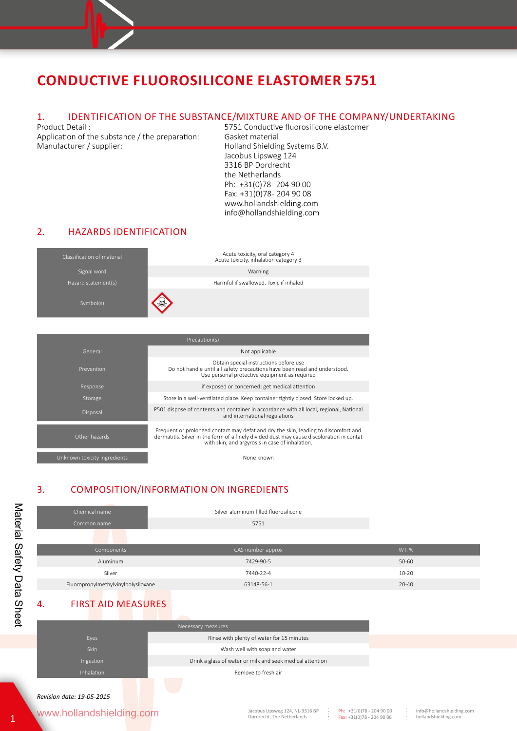# 1. IDENTIFICATION OF THE SUBSTANCE/MIXTURE AND OF THE COMPANY/UNDERTAKING<br>Froduct Detail : 5751 Conductive fluorosilicone elastomer

Application of the substance / the preparation: Gasket material<br>Manufacturer / supplier: Holland Shieldin

5751 Conductive fluorosilicone elastomer Holland Shielding Systems B.V. Jacobus Lipsweg 124 3316 BP Dordrecht the Netherlands Ph: +31(0)78-204 90 00 Fax: +31(0)78 - 204 90 08 www.hollandshielding.com info@hollandshielding.com

#### 2. HAZARDS IDENTIFICATION



| Precaution(s)                |                                                                                                                                                                                                                                     |  |  |
|------------------------------|-------------------------------------------------------------------------------------------------------------------------------------------------------------------------------------------------------------------------------------|--|--|
| General                      | Not applicable                                                                                                                                                                                                                      |  |  |
| Prevention                   | Obtain special instructions before use<br>Do not handle until all safety precautions have been read and understood.<br>Use personal protective equipment as required                                                                |  |  |
| Response                     | if exposed or concerned: get medical attention                                                                                                                                                                                      |  |  |
| Storage                      | Store in a well-ventilated place. Keep container tightly closed. Store locked up.                                                                                                                                                   |  |  |
| Disposal                     | P501 dispose of contents and container in accordance with all local, regional, National<br>and international regulations                                                                                                            |  |  |
| Other hazards                | Frequent or prolonged contact may defat and dry the skin, leading to discomfort and<br>dermatitis. Silver in the form of a finely divided dust may cause discoloration in contat<br>with skin, and argyrosis in case of inhalation. |  |  |
| Unknown toxicity ingredients | None known                                                                                                                                                                                                                          |  |  |

### 3. COMPOSITION/INFORMATION ON INGREDIENTS

| Chemical name                       | Silver aluminum filled fluorosilicone |              |
|-------------------------------------|---------------------------------------|--------------|
| Common name                         | 5751                                  |              |
|                                     |                                       |              |
| Components                          | CAS number approx                     | <b>WT. %</b> |
| Aluminum                            | 7429-90-5                             | 50-60        |
| Silver                              | 7440-22-4                             | $10 - 20$    |
| Fluoropropylmethylvinylpolysiloxane | 63148-56-1                            | $20 - 40$    |

### 4. FIRST AID MEASURES

|             | Necessary measures                                        |
|-------------|-----------------------------------------------------------|
| Eyes        | Rinse with plenty of water for 15 minutes                 |
| <b>Skin</b> | Wash well with soap and water                             |
| Ingestion   | Drink a glass of water or milk and seek medical attention |
| Inhalation  | Remove to fresh air                                       |
|             |                                                           |
|             |                                                           |

www.hollandshielding.com

**Ph:** +31(0)78 - 204 90 00 **Fax:** +31(0)78 - 204 90 08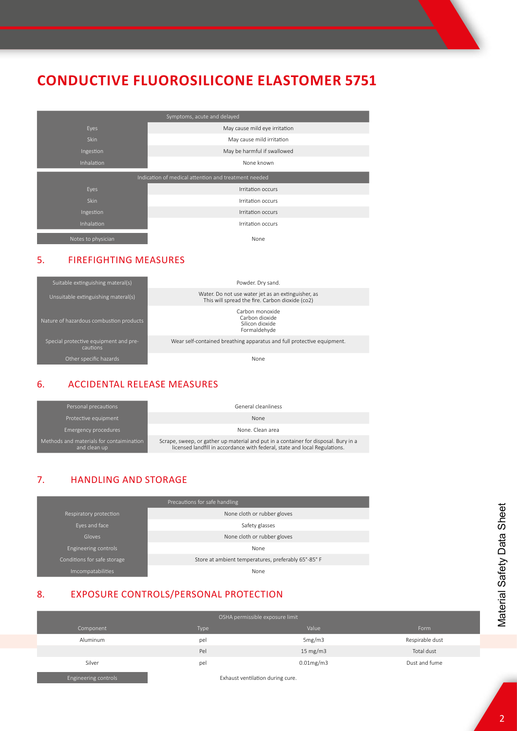| Symptoms, acute and delayed                          |                               |  |  |
|------------------------------------------------------|-------------------------------|--|--|
| Eyes                                                 | May cause mild eye irritation |  |  |
| Skin                                                 | May cause mild irritation     |  |  |
| Ingestion                                            | May be harmful if swallowed   |  |  |
| Inhalation                                           | None known                    |  |  |
| Indication of medical attention and treatment needed |                               |  |  |
| Eyes                                                 | Irritation occurs             |  |  |
| <b>Skin</b>                                          | Irritation occurs             |  |  |
| Ingestion                                            | Irritation occurs             |  |  |
| Inhalation                                           | Irritation occurs             |  |  |
| Notes to physician                                   | None                          |  |  |

#### 5. FIREFIGHTING MEASURES



### 6. ACCIDENTAL RELEASE MEASURES

| Personal precautions                                     | General cleanliness                                                                                                                                               |
|----------------------------------------------------------|-------------------------------------------------------------------------------------------------------------------------------------------------------------------|
| Protective equipment                                     | None                                                                                                                                                              |
| Emergency procedures                                     | None. Clean area                                                                                                                                                  |
| Methods and materials for contaimination<br>and clean up | Scrape, sweep, or gather up material and put in a container for disposal. Bury in a<br>licensed landfill in accordance with federal, state and local Regulations. |

### 7. HANDLING AND STORAGE

| Precautions for safe handling |                                                     |  |  |
|-------------------------------|-----------------------------------------------------|--|--|
| Respiratory protection        | None cloth or rubber gloves                         |  |  |
| Eyes and face                 | Safety glasses                                      |  |  |
| Gloves                        | None cloth or rubber gloves                         |  |  |
| Engineering controls          | None                                                |  |  |
| Conditions for safe storage   | Store at ambient temperatures, preferably 65°-85° F |  |  |
| Imcompatabilities             | None                                                |  |  |

### 8. EXPOSURE CONTROLS/PERSONAL PROTECTION

| OSHA permissible exposure limit |      |                   |                 |
|---------------------------------|------|-------------------|-----------------|
| Component                       | Type | Value             | Form            |
| Aluminum                        | pel  | 5mg/m3            | Respirable dust |
|                                 | Pel  | $15 \text{ mg/m}$ | Total dust      |
| Silver                          | pel  | $0.01$ mg/m $3$   | Dust and fume   |

Engineering controls Exhaust ventilation during cure.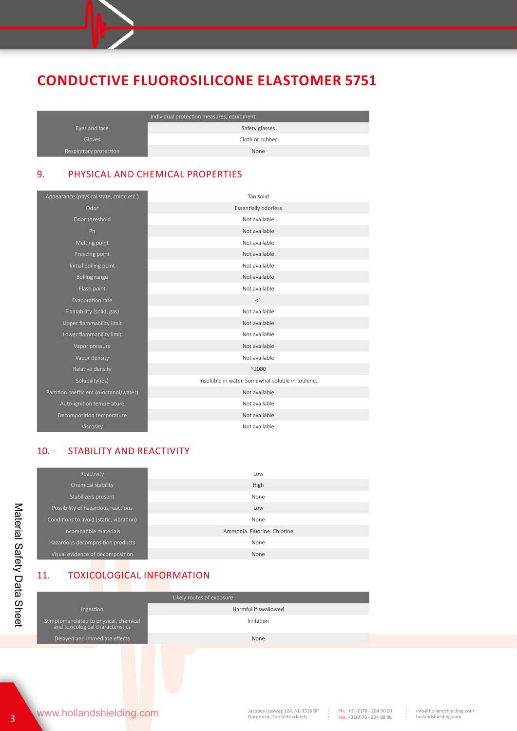|                        | Individual protection measures, equipment |  |  |
|------------------------|-------------------------------------------|--|--|
| Eyes and face          | Safety glasses                            |  |  |
| Gloves                 | Cloth or rubber                           |  |  |
| Respiratory protection | None                                      |  |  |

### 9. PHYSICAL AND CHEMICAL PROPERTIES

| Appearance (physical state, color, etc.) | Tan solid                                        |
|------------------------------------------|--------------------------------------------------|
| Odor                                     | <b>Essentially odorless</b>                      |
| Odor threshold                           | Not available                                    |
| Ph.                                      | Not available                                    |
| Melting point                            | Not available                                    |
| Freezing point                           | Not available                                    |
| Initial boiling point                    | Not available                                    |
| Boiling range                            | Not available                                    |
| Flash point                              | Not available                                    |
| Evaporation rate                         | <1                                               |
| Flamability (solid, gas)                 | Not available                                    |
| Upper flammability limit                 | Not available                                    |
| Lower flammability limit                 | Not available                                    |
| Vapor pressure                           | Not available                                    |
| Vapor density                            | Not available                                    |
| Relative density                         | ~2000                                            |
| Solubility(ies)                          | Insoluble in water. Somewhat soluble in toulene. |
| Partition coefficient (n-octanol/water)  | Not available                                    |
| Auto-ignition temperature                | Not available                                    |
| Decomposition temperature                | Not available                                    |
| Viscosity                                | Not available                                    |

#### 10. STABILITY AND REACTIVITY

| Reactivity                              | Low                         |
|-----------------------------------------|-----------------------------|
| Chemical stability                      | High                        |
| Stabilizers present                     | None                        |
| Possibility of hazardous reactions      | Low                         |
| Conditions to avoid (static, vibration) | None                        |
| Incompatible materials                  | Ammonia, Fluorine, Chlorine |
| Hazardous decomposition products        | None                        |
| Visual evidence of decomposition        | None                        |

### 11. TOXICOLOGICAL INFORMATION

| Likely routes of exposure                                                   |                      |  |  |
|-----------------------------------------------------------------------------|----------------------|--|--|
| Ingestion                                                                   | Harmful if swallowed |  |  |
| Symptoms related to physical, chemical<br>and toxicological characteristics | Irritation           |  |  |
| Delayed and immediate effects                                               | None                 |  |  |
|                                                                             |                      |  |  |

 $\begin{array}{c} \vdots \\ \vdots \\ \vdots \end{array}$